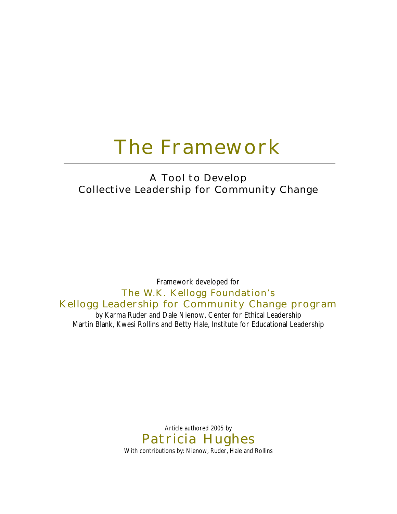# **The Framework**

## **A Tool to Develop Collective Leadership for Community Change**

Framework developed for **The W.K. Kellogg Foundation's Kellogg Leadership for Community Change program** by Karma Ruder and Dale Nienow, Center for Ethical Leadership

Martin Blank, Kwesi Rollins and Betty Hale, Institute for Educational Leadership

Article authored 2005 by **Patricia Hughes** With contributions by: Nienow, Ruder, Hale and Rollins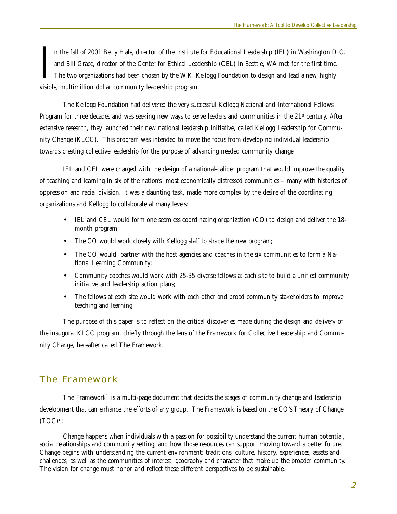In the fall of 2001 Betty Hale, director of the Institute and Bill Grace, director of the Center for Ethical Leadership The two organizations had been chosen by the W.K. K visible, multimillion dollar community leadership n the fall of 2001 Betty Hale, director of the Institute for Educational Leadership (IEL) in Washington D.C. and Bill Grace, director of the Center for Ethical Leadership (CEL) in Seattle, WA met for the first time. The two organizations had been chosen by the W.K. Kellogg Foundation to design and lead a new, highly

The Kellogg Foundation had delivered the very successful Kellogg National and International Fellows Program for three decades and was seeking new ways to serve leaders and communities in the  $21<sup>st</sup>$  century. After extensive research, they launched their new national leadership initiative, called Kellogg Leadership for Community Change (KLCC). This program was intended to move the focus from developing individual leadership towards creating collective leadership for the purpose of advancing needed community change.

IEL and CEL were charged with the design of a national-caliber program that would improve the quality of teaching and learning in six of the nation's most economically distressed communities – many with histories of oppression and racial division. It was a daunting task, made more complex by the desire of the coordinating organizations and Kellogg to collaborate at many levels:

- IEL and CEL would form one seamless coordinating organization (CO) to design and deliver the 18 month program;
- The CO would work closely with Kellogg staff to shape the new program;
- The CO would partner with the host agencies and coaches in the six communities to form a National Learning Community;
- Community coaches would work with 25-35 diverse fellows at each site to build a unified community initiative and leadership action plans;
- The fellows at each site would work with each other and broad community stakeholders to improve teaching and learning.

The purpose of this paper is to reflect on the critical discoveries made during the design and delivery of the inaugural KLCC program, chiefly through the lens of the Framework for Collective Leadership and Community Change, hereafter called The Framework.

#### **The Framework**

The Framework<sup>1</sup> is a multi-page document that depicts the stages of community change and leadership development that can enhance the efforts of any group. The Framework is based on the CO's Theory of Change  $(TOC)^2$ :

Change happens when individuals with a passion for possibility understand the current human potential, social relationships and community setting, and how those resources can support moving toward a better future. Change begins with understanding the current environment: traditions, culture, history, experiences, assets and challenges, as well as the communities of interest, geography and character that make up the broader community. The vision for change must honor and reflect these different perspectives to be sustainable.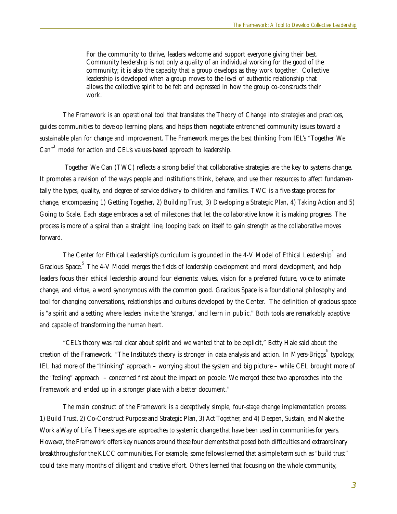For the community to thrive, leaders welcome and support everyone giving their best. Community leadership is not only a quality of an individual working for the good of the community; it is also the capacity that a group develops as they work together. Collective leadership is developed when a group moves to the level of authentic relationship that allows the collective spirit to be felt and expressed in how the group co-constructs their work.

The Framework is an operational tool that translates the Theory of Change into strategies and practices, guides communities to develop learning plans, and helps them negotiate entrenched community issues toward a sustainable plan for change and improvement. The Framework merges the best thinking from IEL's "Together We Can"<sup>3</sup> model for action and CEL's values-based approach to leadership.

 Together We Can (TWC) reflects a strong belief that collaborative strategies are the key to systems change. It promotes a revision of the ways people and institutions think, behave, and use their resources to affect fundamentally the types, quality, and degree of service delivery to children and families. TWC is a five-stage process for change, encompassing 1) Getting Together, 2) Building Trust, 3) Developing a Strategic Plan, 4) Taking Action and 5) Going to Scale. Each stage embraces a set of milestones that let the collaborative know it is making progress. The process is more of a spiral than a straight line, looping back on itself to gain strength as the collaborative moves forward.

The Center for Ethical Leadership's curriculum is grounded in the 4-V Model of Ethical Leadership $^\text{4}$  and Gracious Space. "The 4-V Model merges the fields of leadership development and moral development, and help leaders focus their ethical leadership around four elements: values, vision for a preferred future, voice to animate change, and virtue, a word synonymous with the common good. Gracious Space is a foundational philosophy and tool for changing conversations, relationships and cultures developed by the Center. The definition of gracious space is "a spirit and a setting where leaders invite the 'stranger,' and learn in public." Both tools are remarkably adaptive and capable of transforming the human heart.

"CEL's theory was real clear about spirit and we wanted that to be explicit," Betty Hale said about the creation of the Framework. "The Institute's theory is stronger in data analysis and action. In Myers-Briggs "typology, IEL had more of the "thinking" approach – worrying about the system and big picture – while CEL brought more of the "feeling" approach – concerned first about the impact on people. We merged these two approaches into the Framework and ended up in a stronger place with a better document."

The main construct of the Framework is a deceptively simple, four-stage change implementation process: 1) Build Trust, 2) Co-Construct Purpose and Strategic Plan, 3) Act Together, and 4) Deepen, Sustain, and Make the Work a Way of Life. These stages are approaches to systemic change that have been used in communities for years. However, the Framework offers key nuances around these four elements that posed both difficulties and extraordinary breakthroughs for the KLCC communities. For example, some fellows learned that a simple term such as "build trust" could take many months of diligent and creative effort. Others learned that focusing on the whole community,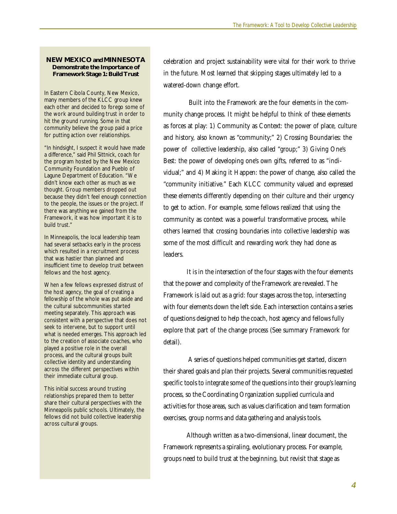#### **NEW MEXICO and MINNESOTA Demonstrate the Importance of Framework Stage 1: Build Trust**

In Eastern Cibola County, New Mexico, many members of the KLCC group knew each other and decided to forego some of the work around building trust in order to hit the ground running. Some in that community believe the group paid a price for putting action over relationships.

"In hindsight, I suspect it would have made a difference," said Phil Sittnick, coach for the program hosted by the New Mexico Community Foundation and Pueblo of Lagune Department of Education. "We didn't know each other as much as we thought. Group members dropped out because they didn't feel enough connection to the people, the issues or the project. If there was anything we gained from the Framework, it was how important it is to build trust."

In Minneapolis, the local leadership team had several setbacks early in the process which resulted in a recruitment process that was hastier than planned and insufficient time to develop trust between fellows and the host agency.

When a few fellows expressed distrust of the host agency, the goal of creating a fellowship of the whole was put aside and the cultural subcommunities started meeting separately. This approach was consistent with a perspective that does not seek to intervene, but to support until what is needed emerges. This approach led to the creation of associate coaches, who played a positive role in the overall process, and the cultural groups built collective identity and understanding across the different perspectives within their immediate cultural group.

This initial success around trusting relationships prepared them to better share their cultural perspectives with the Minneapolis public schools. Ultimately, the fellows did not build collective leadership across cultural groups.

celebration and project sustainability were vital for their work to thrive in the future. Most learned that skipping stages ultimately led to a watered-down change effort.

 Built into the Framework are the four elements in the community change process. It might be helpful to think of these elements as forces at play: 1) Community as Context: the power of place, culture and history, also known as "community;" 2) Crossing Boundaries: the power of collective leadership, also called "group;" 3) Giving One's Best: the power of developing one's own gifts, referred to as "individual;" and 4) Making it Happen: the power of change, also called the "community initiative." Each KLCC community valued and expressed these elements differently depending on their culture and their urgency to get to action. For example, some fellows realized that using the community as context was a powerful transformative process, while others learned that crossing boundaries into collective leadership was some of the most difficult and rewarding work they had done as leaders.

It is in the intersection of the four stages with the four elements that the power and complexity of the Framework are revealed. The Framework is laid out as a grid: four stages across the top, intersecting with four elements down the left side. Each intersection contains a series of questions designed to help the coach, host agency and fellows fully explore that part of the change process (See summary Framework for detail).

 A series of questions helped communities get started, discern their shared goals and plan their projects. Several communities requested specific tools to integrate some of the questions into their group's learning process, so the Coordinating Organization supplied curricula and activities for those areas, such as values clarification and team formation exercises, group norms and data gathering and analysis tools.

Although written as a two-dimensional, linear document, the Framework represents a spiraling, evolutionary process. For example, groups need to build trust at the beginning, but revisit that stage as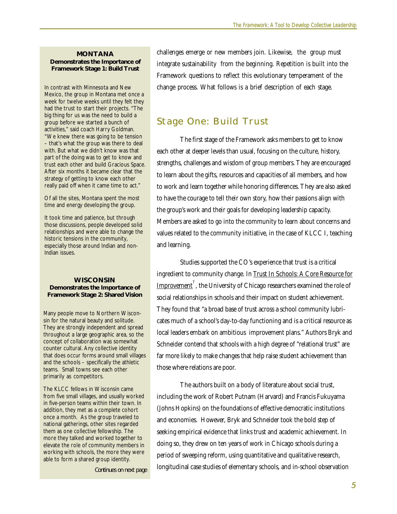#### **MONTANA Demonstrates the Importance of Framework Stage 1: Build Trust**

In contrast with Minnesota and New Mexico, the group in Montana met once a week for twelve weeks until they felt they had the trust to start their projects. "The big thing for us was the need to build a group before we started a bunch of activities," said coach Harry Goldman. "We knew there was going to be tension – that's what the group was there to deal with. But what we didn't know was that part of the doing was to get to know and trust each other and build Gracious Space. After six months it became clear that the strategy of getting to know each other really paid off when it came time to act."

Of all the sites, Montana spent the most time and energy developing the group.

It took time and patience, but through those discussions, people developed solid relationships and were able to change the historic tensions in the community, especially those around Indian and non-Indian issues.

#### **WISCONSIN Demonstrates the Importance of Framework Stage 2: Shared Vision**

Many people move to Northern Wisconsin for the natural beauty and solitude. They are strongly independent and spread throughout a large geographic area, so the concept of collaboration was somewhat counter cultural. Any collective identity that does occur forms around small villages and the schools – specifically the athletic teams. Small towns see each other primarily as competitors.

The KLCC fellows in Wisconsin came from five small villages, and usually worked in five-person teams within their town. In addition, they met as a complete cohort once a month. As the group traveled to national gatherings, other sites regarded them as one collective fellowship. The more they talked and worked together to elevate the role of community members in working with schools, the more they were able to form a shared group identity.

*Continues on next page*

challenges emerge or new members join. Likewise, the group must integrate sustainability from the beginning. Repetition is built into the Framework questions to reflect this evolutionary temperament of the change process. What follows is a brief description of each stage.

#### **Stage One: Build Trust**

The first stage of the Framework asks members to get to know each other at deeper levels than usual, focusing on the culture, history, strengths, challenges and wisdom of group members. They are encouraged to learn about the gifts, resources and capacities of all members, and how to work and learn together while honoring differences. They are also asked to have the courage to tell their own story, how their passions align with the group's work and their goals for developing leadership capacity. Members are asked to go into the community to learn about concerns and values related to the community initiative, in the case of KLCC I, teaching and learning.

Studies supported the CO's experience that trust is a critical ingredient to community change. In Trust In Schools: A Core Resource for  $\overline{\text{Improvement}}^7$  , the University of Chicago researchers examined the role of social relationships in schools and their impact on student achievement. They found that "a broad base of trust across a school community lubricates much of a school's day-to-day functioning and is a critical resource as local leaders embark on ambitious improvement plans." Authors Bryk and Schneider contend that schools with a high degree of "relational trust" are far more likely to make changes that help raise student achievement than those where relations are poor.

The authors built on a body of literature about social trust, including the work of Robert Putnam (Harvard) and Francis Fukuyama (Johns Hopkins) on the foundations of effective democratic institutions and economies. However, Bryk and Schneider took the bold step of seeking empirical evidence that links trust and academic achievement. In doing so, they drew on ten years of work in Chicago schools during a period of sweeping reform, using quantitative and qualitative research, longitudinal case studies of elementary schools, and in-school observation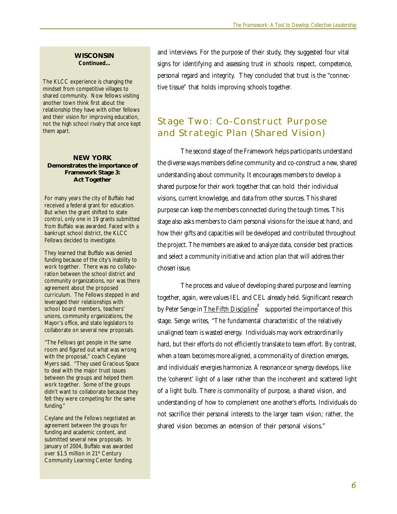#### **WISCONSIN** *Continued...*

The KLCC experience is changing the mindset from competitive villages to shared community. Now fellows visiting another town think first about the relationship they have with other fellows and their vision for improving education, not the high school rivalry that once kept them apart.

#### **NEW YORK Demonstrates the importance of Framework Stage 3: Act Together**

For many years the city of Buffalo had received a federal grant for education. But when the grant shifted to state control, only one in 19 grants submitted from Buffalo was awarded. Faced with a bankrupt school district, the KLCC Fellows decided to investigate.

They learned that Buffalo was denied funding because of the city's inability to work together. There was no collaboration between the school district and community organizations, nor was there agreement about the proposed curriculum. The Fellows stepped in and leveraged their relationships with school board members, teachers' unions, community organizations, the Mayor's office, and state legislators to collaborate on several new proposals.

"The Fellows got people in the same room and figured out what was wrong with the proposal," coach Ceylane Myers said. "They used Gracious Space to deal with the major trust issues between the groups and helped them work together. Some of the groups didn't want to collaborate because they felt they were competing for the same funding."

Ceylane and the Fellows negotiated an agreement between the groups for funding and academic content, and submitted several new proposals. In January of 2004, Buffalo was awarded over \$1.5 million in 21<sup>st</sup> Century Community Learning Center funding.

and interviews. For the purpose of their study, they suggested four vital signs for identifying and assessing trust in schools: respect, competence, personal regard and integrity. They concluded that trust is the "connective tissue" that holds improving schools together.

## **Stage Two: Co-Construct Purpose and Strategic Plan (Shared Vision)**

The second stage of the Framework helps participants understand the diverse ways members define community and co-construct a new, shared understanding about community. It encourages members to develop a shared purpose for their work together that can hold their individual visions, current knowledge, and data from other sources. This shared purpose can keep the members connected during the tough times. This stage also asks members to claim personal visions for the issue at hand, and how their gifts and capacities will be developed and contributed throughout the project. The members are asked to analyze data, consider best practices and select a community initiative and action plan that will address their chosen issue.

The process and value of developing shared purpose and learning together, again, were values IEL and CEL already held. Significant research by Peter Senge in <u>The Fifth Discipline</u>  $^{\rm 8}~$  supported the importance of this stage. Senge writes, "The fundamental characteristic of the relatively unaligned team is wasted energy. Individuals may work extraordinarily hard, but their efforts do not efficiently translate to team effort. By contrast, when a team becomes more aligned, a commonality of direction emerges, and individuals' energies harmonize. A resonance or synergy develops, like the 'coherent' light of a laser rather than the incoherent and scattered light of a light bulb. There is commonality of purpose, a shared vision, and understanding of how to complement one another's efforts. Individuals do not sacrifice their personal interests to the larger team vision; rather, the shared vision becomes an extension of their personal visions."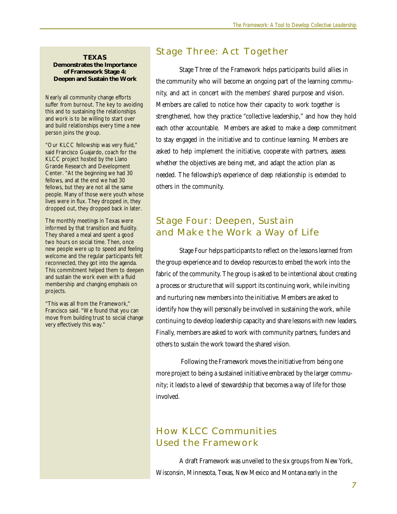#### **TEXAS Demonstrates the Importance of Framework Stage 4: Deepen and Sustain the Work**

Nearly all community change efforts suffer from burnout. The key to avoiding this and to sustaining the relationships and work is to be willing to start over and build relationships every time a new person joins the group.

"Our KLCC fellowship was very fluid," said Francisco Guajardo, coach for the KLCC project hosted by the Llano Grande Research and Development Center. "At the beginning we had 30 fellows, and at the end we had 30 fellows, but they are not all the same people. Many of those were youth whose lives were in flux. They dropped in, they dropped out, they dropped back in later.

The monthly meetings in Texas were informed by that transition and fluidity. They shared a meal and spent a good two hours on social time. Then, once new people were up to speed and feeling welcome and the regular participants felt reconnected, they got into the agenda. This commitment helped them to deepen and sustain the work even with a fluid membership and changing emphasis on projects.

"This was all from the Framework," Francisco said. "We found that you can move from building trust to social change very effectively this way."

### **Stage Three: Act Together**

Stage Three of the Framework helps participants build allies in the community who will become an ongoing part of the learning community, and act in concert with the members' shared purpose and vision. Members are called to notice how their capacity to work together is strengthened, how they practice "collective leadership," and how they hold each other accountable. Members are asked to make a deep commitment to stay engaged in the initiative and to continue learning. Members are asked to help implement the initiative, cooperate with partners, assess whether the objectives are being met, and adapt the action plan as needed. The fellowship's experience of deep relationship is extended to others in the community.

## **Stage Four: Deepen, Sustain and Make the Work a Way of Life**

Stage Four helps participants to reflect on the lessons learned from the group experience and to develop resources to embed the work into the fabric of the community. The group is asked to be intentional about creating a process or structure that will support its continuing work, while inviting and nurturing new members into the initiative. Members are asked to identify how they will personally be involved in sustaining the work, while continuing to develop leadership capacity and share lessons with new leaders. Finally, members are asked to work with community partners, funders and others to sustain the work toward the shared vision.

 Following the Framework moves the initiative from being one more project to being a sustained initiative embraced by the larger community; it leads to a level of stewardship that becomes a way of life for those involved.

## **How KLCC Communities Used the Framework**

A draft Framework was unveiled to the six groups from New York, Wisconsin, Minnesota, Texas, New Mexico and Montana early in the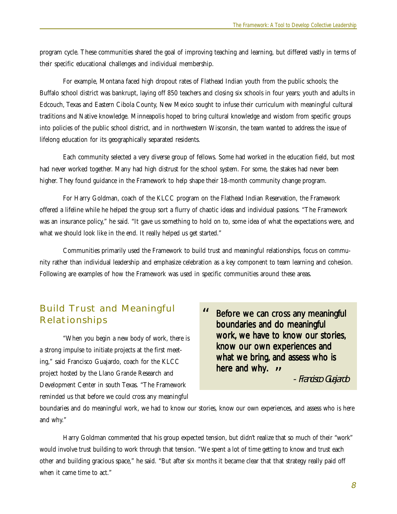program cycle. These communities shared the goal of improving teaching and learning, but differed vastly in terms of their specific educational challenges and individual membership.

For example, Montana faced high dropout rates of Flathead Indian youth from the public schools; the Buffalo school district was bankrupt, laying off 850 teachers and closing six schools in four years; youth and adults in Edcouch, Texas and Eastern Cibola County, New Mexico sought to infuse their curriculum with meaningful cultural traditions and Native knowledge. Minneapolis hoped to bring cultural knowledge and wisdom from specific groups into policies of the public school district, and in northwestern Wisconsin, the team wanted to address the issue of lifelong education for its geographically separated residents.

Each community selected a very diverse group of fellows. Some had worked in the education field, but most had never worked together. Many had high distrust for the school system. For some, the stakes had never been higher. They found guidance in the Framework to help shape their 18-month community change program.

For Harry Goldman, coach of the KLCC program on the Flathead Indian Reservation, the Framework offered a lifeline while he helped the group sort a flurry of chaotic ideas and individual passions. "The Framework was an insurance policy," he said. "It gave us something to hold on to, some idea of what the expectations were, and what we should look like in the end. It really helped us get started."

Communities primarily used the Framework to build trust and meaningful relationships, focus on community rather than individual leadership and emphasize celebration as a key component to team learning and cohesion. Following are examples of how the Framework was used in specific communities around these areas.

## **Build Trust and Meaningful Relationships**

"When you begin a new body of work, there is a strong impulse to initiate projects at the first meeting," said Francisco Guajardo, coach for the KLCC project hosted by the Llano Grande Research and Development Center in south Texas. "The Framework reminded us that before we could cross any meaningful

Before we can cross any meaningful boundaries and do meaningful work, we have to know our stories. know our own experiences and what we bring, and assess who is here and why. **" "**

- Francisco Guajardo

boundaries and do meaningful work, we had to know our stories, know our own experiences, and assess who is here and why."

Harry Goldman commented that his group expected tension, but didn't realize that so much of their "work" would involve trust building to work through that tension. "We spent a lot of time getting to know and trust each other and building gracious space," he said. "But after six months it became clear that that strategy really paid off when it came time to act."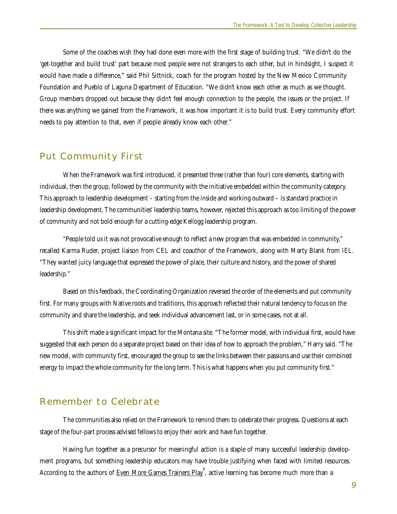Some of the coaches wish they had done even more with the first stage of building trust. "We didn't do the 'get-together and build trust' part because most people were not strangers to each other, but in hindsight, I suspect it would have made a difference," said Phil Sittnick, coach for the program hosted by the New Mexico Community Foundation and Pueblo of Laguna Department of Education. "We didn't know each other as much as we thought. Group members dropped out because they didn't feel enough connection to the people, the issues or the project. If there was anything we gained from the Framework, it was how important it is to build trust. Every community effort needs to pay attention to that, even if people already know each other."

#### **Put Community First**

When the Framework was first introduced, it presented three (rather than four) core elements, starting with individual, then the group, followed by the community with the initiative embedded within the community category. This approach to leadership development – starting from the inside and working outward – is standard practice in leadership development. The communities' leadership teams, however, rejected this approach as too limiting of the power of community and not bold enough for a cutting-edge Kellogg leadership program.

"People told us it was not provocative enough to reflect a new program that was embedded in community," recalled Karma Ruder, project liaison from CEL and coauthor of the Framework, along with Marty Blank from IEL. "They wanted juicy language that expressed the power of place, their culture and history, and the power of shared leadership."

Based on this feedback, the Coordinating Organization reversed the order of the elements and put community first. For many groups with Native roots and traditions, this approach reflected their natural tendency to focus on the community and share the leadership, and seek individual advancement last, or in some cases, not at all.

This shift made a significant impact for the Montana site. "The former model, with individual first, would have suggested that each person do a separate project based on their idea of how to approach the problem," Harry said. "The new model, with community first, encouraged the group to see the links between their passions and use their combined energy to impact the whole community for the long term. This is what happens when you put community first."

#### **Remember to Celebrate**

The communities also relied on the Framework to remind them to celebrate their progress. Questions at each stage of the four-part process advised fellows to enjoy their work and have fun together.

Having fun together as a precursor for meaningful action is a staple of many successful leadership development programs, but something leadership educators may have trouble justifying when faced with limited resources. According to the authors of <u>Even More Games Trainers Play</u> , active learning has become much more than a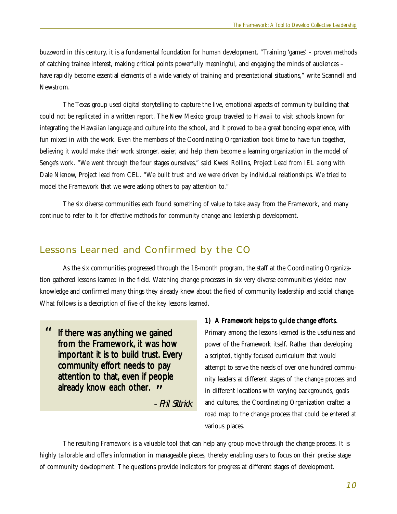buzzword in this century, it is a fundamental foundation for human development. "Training 'games' – proven methods of catching trainee interest, making critical points powerfully meaningful, and engaging the minds of audiences – have rapidly become essential elements of a wide variety of training and presentational situations," write Scannell and Newstrom.

The Texas group used digital storytelling to capture the live, emotional aspects of community building that could not be replicated in a written report. The New Mexico group traveled to Hawaii to visit schools known for integrating the Hawaiian language and culture into the school, and it proved to be a great bonding experience, with fun mixed in with the work. Even the members of the Coordinating Organization took time to have fun together, believing it would make their work stronger, easier, and help them become a learning organization in the model of Senge's work. "We went through the four stages ourselves," said Kwesi Rollins, Project Lead from IEL along with Dale Nienow, Project lead from CEL. "We built trust and we were driven by individual relationships. We tried to model the Framework that we were asking others to pay attention to."

The six diverse communities each found something of value to take away from the Framework, and many continue to refer to it for effective methods for community change and leadership development.

#### **Lessons Learned and Confirmed by the CO**

As the six communities progressed through the 18-month program, the staff at the Coordinating Organization gathered lessons learned in the field. Watching change processes in six very diverse communities yielded new knowledge and confirmed many things they already knew about the field of community leadership and social change. What follows is a description of five of the key lessons learned.

**"** attention to that, even in peop<br>already know each other. " If there was anything we gained from the Framework, it was how important it is to build trust. Every community effort needs to pay attention to that, even if people

- Phil Sittnick

#### 1) A Framework helps to guide change efforts.

Primary among the lessons learned is the usefulness and power of the Framework itself. Rather than developing a scripted, tightly focused curriculum that would attempt to serve the needs of over one hundred community leaders at different stages of the change process and in different locations with varying backgrounds, goals and cultures, the Coordinating Organization crafted a road map to the change process that could be entered at various places.

The resulting Framework is a valuable tool that can help any group move through the change process. It is highly tailorable and offers information in manageable pieces, thereby enabling users to focus on their precise stage of community development. The questions provide indicators for progress at different stages of development.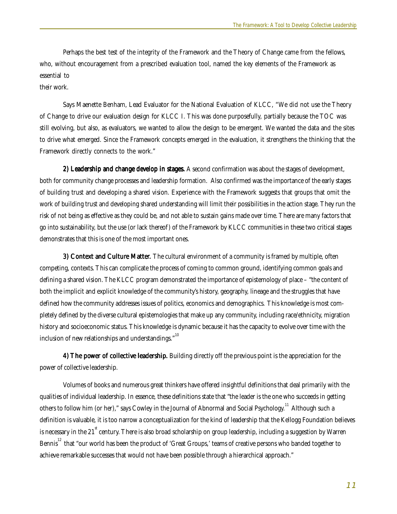Perhaps the best test of the integrity of the Framework and the Theory of Change came from the fellows, who, without encouragement from a prescribed evaluation tool, named the key elements of the Framework as essential to

their work.

Says Maenette Benham, Lead Evaluator for the National Evaluation of KLCC, "We did not use the Theory of Change to drive our evaluation design for KLCC I. This was done purposefully, partially because the TOC was still evolving, but also, as evaluators, we wanted to allow the design to be emergent. We wanted the data and the sites to drive what emerged. Since the Framework concepts emerged in the evaluation, it strengthens the thinking that the Framework directly connects to the work."

2) Leadership and change develop in stages. A second confirmation was about the stages of development, both for community change processes and leadership formation. Also confirmed was the importance of the early stages of building trust and developing a shared vision. Experience with the Framework suggests that groups that omit the work of building trust and developing shared understanding will limit their possibilities in the action stage. They run the risk of not being as effective as they could be, and not able to sustain gains made over time. There are many factors that go into sustainability, but the use (or lack thereof) of the Framework by KLCC communities in these two critical stages demonstrates that this is one of the most important ones.

3) Context and Culture Matter. The cultural environment of a community is framed by multiple, often competing, contexts. This can complicate the process of coming to common ground, identifying common goals and defining a shared vision. The KLCC program demonstrated the importance of epistemology of place – "the content of both the implicit and explicit knowledge of the community's history, geography, lineage and the struggles that have defined how the community addresses issues of politics, economics and demographics. This knowledge is most completely defined by the diverse cultural epistemologies that make up any community, including race/ethnicity, migration history and socioeconomic status. This knowledge is dynamic because it has the capacity to evolve over time with the inclusion of new relationships and understandings."<sup>10</sup>

4) The power of collective leadership. Building directly off the previous point is the appreciation for the power of collective leadership.

Volumes of books and numerous great thinkers have offered insightful definitions that deal primarily with the qualities of individual leadership. In essence, these definitions state that "the leader is the one who succeeds in getting others to follow him (or her)," says Cowley in the Journal of Abnormal and Social Psychology.<sup>11</sup> Although such a definition is valuable, it is too narrow a conceptualization for the kind of leadership that the Kellogg Foundation believes is necessary in the 21<sup>st</sup> century. There is also broad scholarship on group leadership, including a suggestion by Warren Bennis<sup>12</sup> that "our world has been the product of 'Great Groups,' teams of creative persons who banded together to achieve remarkable successes that would not have been possible through a hierarchical approach."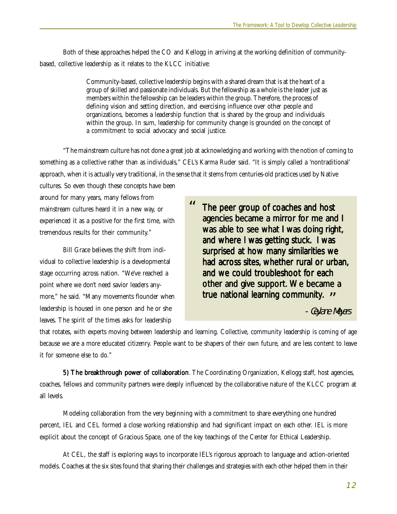Both of these approaches helped the CO and Kellogg in arriving at the working definition of communitybased, collective leadership as it relates to the KLCC initiative:

> Community-based, collective leadership begins with a shared dream that is at the heart of a group of skilled and passionate individuals. But the fellowship as a whole is the leader just as members within the fellowship can be leaders within the group. Therefore, the process of defining vision and setting direction, and exercising influence over other people and organizations, becomes a leadership function that is shared by the group and individuals within the group. In sum, leadership for community change is grounded on the concept of a commitment to social advocacy and social justice.

"The mainstream culture has not done a great job at acknowledging and working with the notion of coming to something as a collective rather than as individuals," CEL's Karma Ruder said. "It is simply called a 'nontraditional' approach, when it is actually very traditional, in the sense that it stems from centuries-old practices used by Native cultures. So even though these concepts have been

around for many years, many fellows from mainstream cultures heard it in a new way, or experienced it as a positive for the first time, with tremendous results for their community."

Bill Grace believes the shift from individual to collective leadership is a developmental stage occurring across nation. "We've reached a point where we don't need savior leaders anymore," he said. "Many movements flounder when leadership is housed in one person and he or she leaves. The spirit of the times asks for leadership

The peer group of coaches and host agencies became a mirror for me and I was able to see what I was doing right, and where I was getting stuck. I was surprised at how many similarities we had across sites, whether rural or urban, and we could troubleshoot for each other and give support. We became a true national learning community. " **"**

- Ceylane Meyers

that rotates, with experts moving between leadership and learning. Collective, community leadership is coming of age because we are a more educated citizenry. People want to be shapers of their own future, and are less content to leave it for someone else to do."

5) The breakthrough power of collaboration. The Coordinating Organization, Kellogg staff, host agencies, coaches, fellows and community partners were deeply influenced by the collaborative nature of the KLCC program at all levels.

Modeling collaboration from the very beginning with a commitment to share everything one hundred percent, IEL and CEL formed a close working relationship and had significant impact on each other. IEL is more explicit about the concept of Gracious Space, one of the key teachings of the Center for Ethical Leadership.

At CEL, the staff is exploring ways to incorporate IEL's rigorous approach to language and action-oriented models. Coaches at the six sites found that sharing their challenges and strategies with each other helped them in their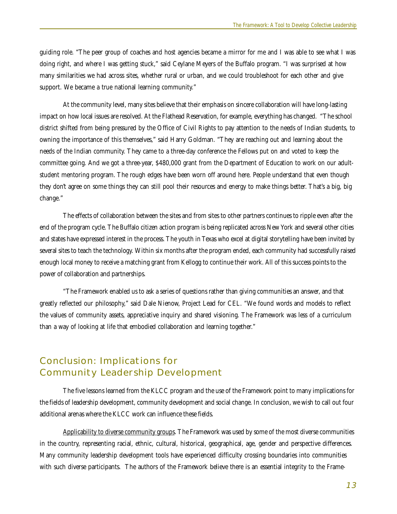guiding role. "The peer group of coaches and host agencies became a mirror for me and I was able to see what I was doing right, and where I was getting stuck," said Ceylane Meyers of the Buffalo program. "I was surprised at how many similarities we had across sites, whether rural or urban, and we could troubleshoot for each other and give support. We became a true national learning community."

At the community level, many sites believe that their emphasis on sincere collaboration will have long-lasting impact on how local issues are resolved. At the Flathead Reservation, for example, everything has changed. "The school district shifted from being pressured by the Office of Civil Rights to pay attention to the needs of Indian students, to owning the importance of this themselves," said Harry Goldman. "They are reaching out and learning about the needs of the Indian community. They came to a three-day conference the Fellows put on and voted to keep the committee going. And we got a three-year, \$480,000 grant from the Department of Education to work on our adultstudent mentoring program. The rough edges have been worn off around here. People understand that even though they don't agree on some things they can still pool their resources and energy to make things better. That's a big, big change."

The effects of collaboration between the sites and from sites to other partners continues to ripple even after the end of the program cycle. The Buffalo citizen action program is being replicated across New York and several other cities and states have expressed interest in the process. The youth in Texas who excel at digital storytelling have been invited by several sites to teach the technology. Within six months after the program ended, each community had successfully raised enough local money to receive a matching grant from Kellogg to continue their work. All of this success points to the power of collaboration and partnerships.

"The Framework enabled us to ask a series of questions rather than giving communities an answer, and that greatly reflected our philosophy," said Dale Nienow, Project Lead for CEL. "We found words and models to reflect the values of community assets, appreciative inquiry and shared visioning. The Framework was less of a curriculum than a way of looking at life that embodied collaboration and learning together."

## **Conclusion: Implications for Community Leadership Development**

The five lessons learned from the KLCC program and the use of the Framework point to many implications for the fields of leadership development, community development and social change. In conclusion, we wish to call out four additional arenas where the KLCC work can influence these fields.

Applicability to diverse community groups. The Framework was used by some of the most diverse communities in the country, representing racial, ethnic, cultural, historical, geographical, age, gender and perspective differences. Many community leadership development tools have experienced difficulty crossing boundaries into communities with such diverse participants. The authors of the Framework believe there is an essential integrity to the Frame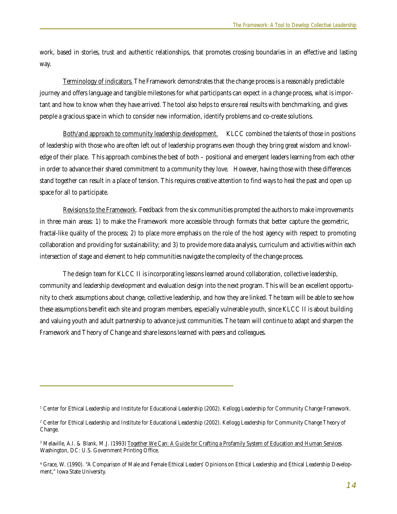work, based in stories, trust and authentic relationships, that promotes crossing boundaries in an effective and lasting way.

Terminology of indicators. The Framework demonstrates that the change process is a reasonably predictable journey and offers language and tangible milestones for what participants can expect in a change process, what is important and how to know when they have arrived. The tool also helps to ensure real results with benchmarking, and gives people a gracious space in which to consider new information, identify problems and co-create solutions.

Both/and approach to community leadership development. KLCC combined the talents of those in positions of leadership with those who are often left out of leadership programs even though they bring great wisdom and knowledge of their place. This approach combines the best of both – positional and emergent leaders learning from each other in order to advance their shared commitment to a community they love. However, having those with these differences stand together can result in a place of tension. This requires creative attention to find ways to heal the past and open up space for all to participate.

Revisions to the Framework. Feedback from the six communities prompted the authors to make improvements in three main areas: 1) to make the Framework more accessible through formats that better capture the geometric, fractal-like quality of the process; 2) to place more emphasis on the role of the host agency with respect to promoting collaboration and providing for sustainability; and 3) to provide more data analysis, curriculum and activities within each intersection of stage and element to help communities navigate the complexity of the change process.

The design team for KLCC II is incorporating lessons learned around collaboration, collective leadership, community and leadership development and evaluation design into the next program. This will be an excellent opportunity to check assumptions about change, collective leadership, and how they are linked. The team will be able to see how these assumptions benefit each site and program members, especially vulnerable youth, since KLCC II is about building and valuing youth and adult partnership to advance just communities. The team will continue to adapt and sharpen the Framework and Theory of Change and share lessons learned with peers and colleagues.

<sup>1</sup> Center for Ethical Leadership and Institute for Educational Leadership (2002). Kellogg Leadership for Community Change Framework.

<sup>2</sup> Center for Ethical Leadership and Institute for Educational Leadership (2002). Kellogg Leadership for Community Change Theory of Change.

<sup>&</sup>lt;sup>3</sup> Melaville, A.I. & Blank, M.J. (1993) <u>Together We Can: A Guide for Crafting a Profamily System of Education and Human Services.</u> Washington, DC: U.S. Government Printing Office.

<sup>4</sup> Grace, W. (1990). "A Comparison of Male and Female Ethical Leaders' Opinions on Ethical Leadership and Ethical Leadership Development," Iowa State University.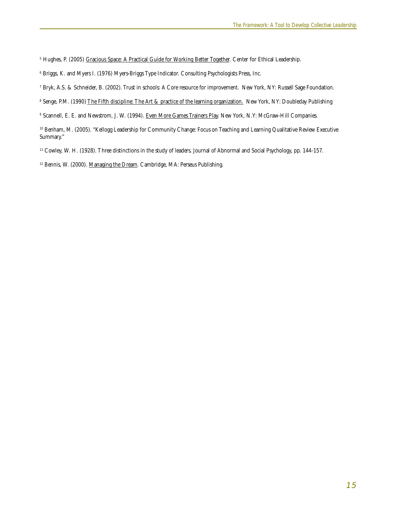<sup>5</sup> Hughes, P. (2005) <u>Gracious Space: A Practical Guide for Working Better Together</u>. Center for Ethical Leadership.

 $^{\rm 6}$  Briggs, K. and Myers I. (1976) Myers-Briggs Type Indicator. Consulting Psychologists Press, Inc.

- 7 Bryk, A.S. & Schneider, B. (2002). Trust in schools: A Core resource for improvement. New York, NY: Russell Sage Foundation.
- <sup>8</sup> Senge, P.M. (1990) <u>The Fifth discipline: The Art & practice of the learning organization.</u> New York, NY: Doubleday Publishing
- <sup>9</sup> Scannell, E. E. and Newstrom, J. W. (1994). <u>Even More Games Trainers Play</u>. New York, N.Y: McGraw-Hill Companies.

10 Benham, M. (2005). "Kellogg Leadership for Community Change: Focus on Teaching and Learning Qualitative Review Executive Summary."

11 Cowley, W. H. (1928). Three distinctions in the study of leaders. Journal of Abnormal and Social Psychology, pp. 144-157.

<sup>12</sup> Bennis, W. (2000). Managing the Dream. Cambridge, MA: Perseus Publishing.